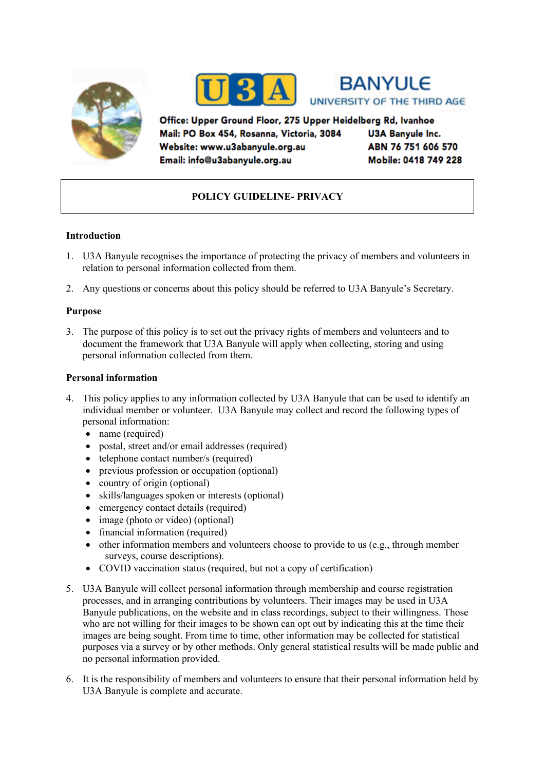





Office: Upper Ground Floor, 275 Upper Heidelberg Rd, Ivanhoe Mail: PO Box 454, Rosanna, Victoria, 3084 Website: www.u3abanyule.org.au Email: info@u3abanyule.org.au

**U3A Banyule Inc.** ABN 76 751 606 570 Mobile: 0418 749 228

# **POLICY GUIDELINE- PRIVACY**

# **Introduction**

- 1. U3A Banyule recognises the importance of protecting the privacy of members and volunteers in relation to personal information collected from them.
- 2. Any questions or concerns about this policy should be referred to U3A Banyule's Secretary.

# **Purpose**

3. The purpose of this policy is to set out the privacy rights of members and volunteers and to document the framework that U3A Banyule will apply when collecting, storing and using personal information collected from them.

#### **Personal information**

- 4. This policy applies to any information collected by U3A Banyule that can be used to identify an individual member or volunteer. U3A Banyule may collect and record the following types of personal information:
	- name (required)
	- postal, street and/or email addresses (required)
	- telephone contact number/s (required)
	- previous profession or occupation (optional)
	- country of origin (optional)
	- skills/languages spoken or interests (optional)
	- emergency contact details (required)
	- image (photo or video) (optional)
	- financial information (required)
	- other information members and volunteers choose to provide to us (e.g., through member surveys, course descriptions).
	- COVID vaccination status (required, but not a copy of certification)
- 5. U3A Banyule will collect personal information through membership and course registration processes, and in arranging contributions by volunteers. Their images may be used in U3A Banyule publications, on the website and in class recordings, subject to their willingness. Those who are not willing for their images to be shown can opt out by indicating this at the time their images are being sought. From time to time, other information may be collected for statistical purposes via a survey or by other methods. Only general statistical results will be made public and no personal information provided.
- 6. It is the responsibility of members and volunteers to ensure that their personal information held by U3A Banyule is complete and accurate.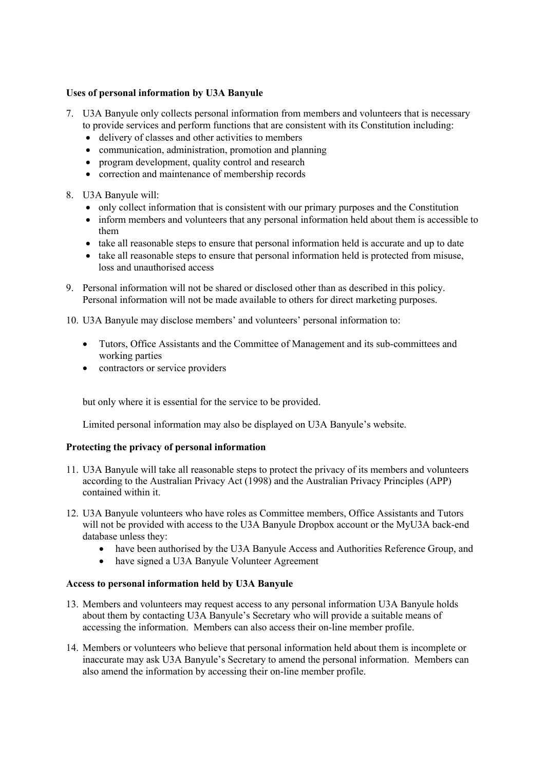# **Uses of personal information by U3A Banyule**

- 7. U3A Banyule only collects personal information from members and volunteers that is necessary to provide services and perform functions that are consistent with its Constitution including:
	- delivery of classes and other activities to members
	- communication, administration, promotion and planning
	- program development, quality control and research
	- correction and maintenance of membership records
- 8. U3A Banyule will:
	- only collect information that is consistent with our primary purposes and the Constitution
	- inform members and volunteers that any personal information held about them is accessible to them
	- take all reasonable steps to ensure that personal information held is accurate and up to date
	- take all reasonable steps to ensure that personal information held is protected from misuse, loss and unauthorised access
- 9. Personal information will not be shared or disclosed other than as described in this policy. Personal information will not be made available to others for direct marketing purposes.
- 10. U3A Banyule may disclose members' and volunteers' personal information to:
	- Tutors, Office Assistants and the Committee of Management and its sub-committees and working parties
	- contractors or service providers

but only where it is essential for the service to be provided.

Limited personal information may also be displayed on U3A Banyule's website.

#### **Protecting the privacy of personal information**

- 11. U3A Banyule will take all reasonable steps to protect the privacy of its members and volunteers according to the Australian Privacy Act (1998) and the Australian Privacy Principles (APP) contained within it.
- 12. U3A Banyule volunteers who have roles as Committee members, Office Assistants and Tutors will not be provided with access to the U3A Banyule Dropbox account or the MyU3A back-end database unless they:
	- have been authorised by the U3A Banyule Access and Authorities Reference Group, and
	- have signed a U3A Banyule Volunteer Agreement

#### **Access to personal information held by U3A Banyule**

- 13. Members and volunteers may request access to any personal information U3A Banyule holds about them by contacting U3A Banyule's Secretary who will provide a suitable means of accessing the information. Members can also access their on-line member profile.
- 14. Members or volunteers who believe that personal information held about them is incomplete or inaccurate may ask U3A Banyule's Secretary to amend the personal information. Members can also amend the information by accessing their on-line member profile.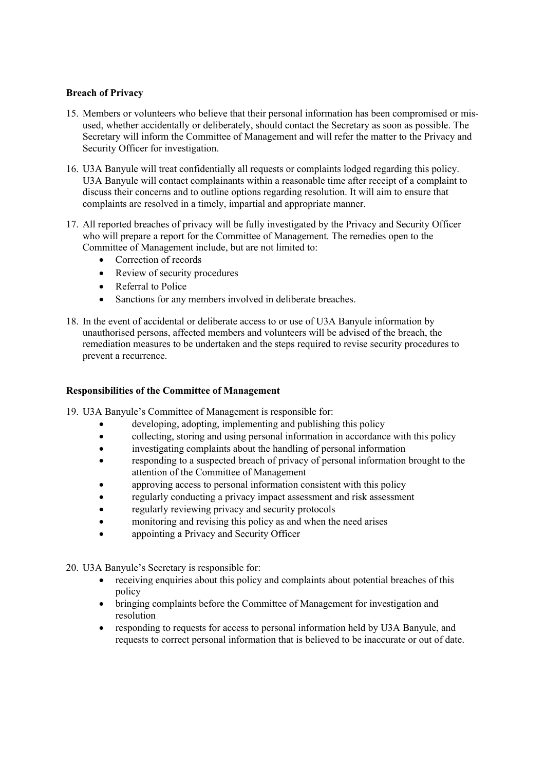# **Breach of Privacy**

- 15. Members or volunteers who believe that their personal information has been compromised or misused, whether accidentally or deliberately, should contact the Secretary as soon as possible. The Secretary will inform the Committee of Management and will refer the matter to the Privacy and Security Officer for investigation.
- 16. U3A Banyule will treat confidentially all requests or complaints lodged regarding this policy. U3A Banyule will contact complainants within a reasonable time after receipt of a complaint to discuss their concerns and to outline options regarding resolution. It will aim to ensure that complaints are resolved in a timely, impartial and appropriate manner.
- 17. All reported breaches of privacy will be fully investigated by the Privacy and Security Officer who will prepare a report for the Committee of Management. The remedies open to the Committee of Management include, but are not limited to:
	- Correction of records
	- Review of security procedures
	- Referral to Police
	- Sanctions for any members involved in deliberate breaches.
- 18. In the event of accidental or deliberate access to or use of U3A Banyule information by unauthorised persons, affected members and volunteers will be advised of the breach, the remediation measures to be undertaken and the steps required to revise security procedures to prevent a recurrence.

#### **Responsibilities of the Committee of Management**

- 19. U3A Banyule's Committee of Management is responsible for:
	- developing, adopting, implementing and publishing this policy
	- collecting, storing and using personal information in accordance with this policy
	- investigating complaints about the handling of personal information
	- responding to a suspected breach of privacy of personal information brought to the attention of the Committee of Management
	- approving access to personal information consistent with this policy
	- regularly conducting a privacy impact assessment and risk assessment
	- regularly reviewing privacy and security protocols
	- monitoring and revising this policy as and when the need arises
	- appointing a Privacy and Security Officer

20. U3A Banyule's Secretary is responsible for:

- receiving enquiries about this policy and complaints about potential breaches of this policy
- bringing complaints before the Committee of Management for investigation and resolution
- responding to requests for access to personal information held by U3A Banyule, and requests to correct personal information that is believed to be inaccurate or out of date.